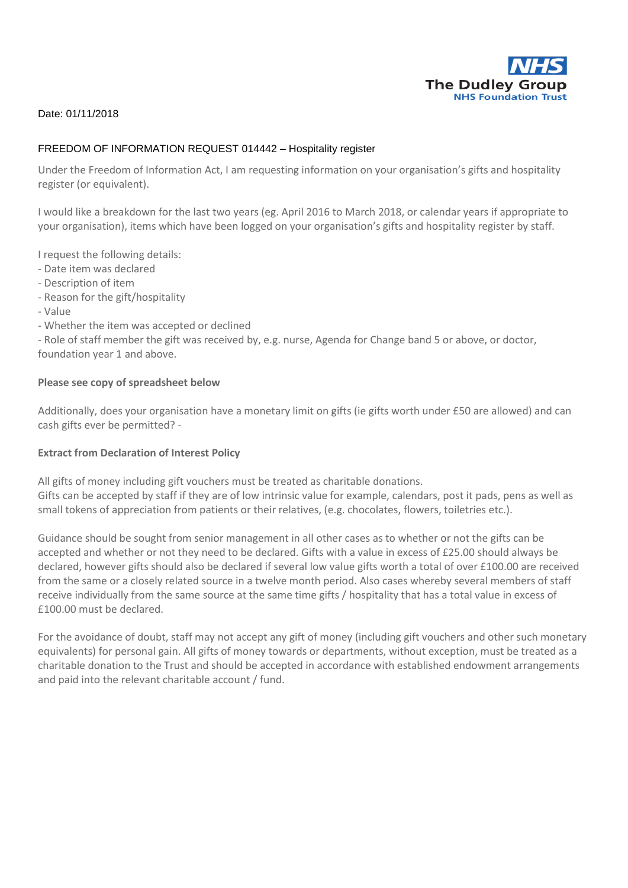

## Date: 01/11/2018

## FREEDOM OF INFORMATION REQUEST 014442 – Hospitality register

Under the Freedom of Information Act, I am requesting information on your organisation's gifts and hospitality register (or equivalent).

I would like a breakdown for the last two years (eg. April 2016 to March 2018, or calendar years if appropriate to your organisation), items which have been logged on your organisation's gifts and hospitality register by staff.

I request the following details:

- Date item was declared
- Description of item
- Reason for the gift/hospitality
- Value
- Whether the item was accepted or declined

- Role of staff member the gift was received by, e.g. nurse, Agenda for Change band 5 or above, or doctor, foundation year 1 and above.

## **Please see copy of spreadsheet below**

Additionally, does your organisation have a monetary limit on gifts (ie gifts worth under £50 are allowed) and can cash gifts ever be permitted? -

## **Extract from Declaration of Interest Policy**

All gifts of money including gift vouchers must be treated as charitable donations. Gifts can be accepted by staff if they are of low intrinsic value for example, calendars, post it pads, pens as well as small tokens of appreciation from patients or their relatives, (e.g. chocolates, flowers, toiletries etc.).

Guidance should be sought from senior management in all other cases as to whether or not the gifts can be accepted and whether or not they need to be declared. Gifts with a value in excess of £25.00 should always be declared, however gifts should also be declared if several low value gifts worth a total of over £100.00 are received from the same or a closely related source in a twelve month period. Also cases whereby several members of staff receive individually from the same source at the same time gifts / hospitality that has a total value in excess of £100.00 must be declared.

For the avoidance of doubt, staff may not accept any gift of money (including gift vouchers and other such monetary equivalents) for personal gain. All gifts of money towards or departments, without exception, must be treated as a charitable donation to the Trust and should be accepted in accordance with established endowment arrangements and paid into the relevant charitable account / fund.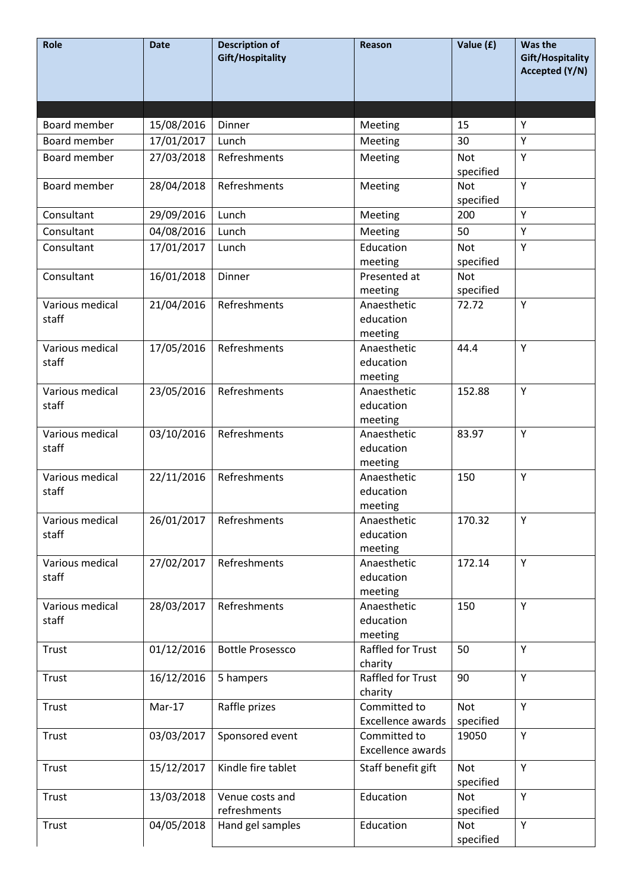| <b>Role</b>              | <b>Date</b> | <b>Description of</b><br>Gift/Hospitality | Reason                   | Value (£)               | <b>Was the</b><br><b>Gift/Hospitality</b><br>Accepted (Y/N) |
|--------------------------|-------------|-------------------------------------------|--------------------------|-------------------------|-------------------------------------------------------------|
|                          |             |                                           |                          |                         |                                                             |
| Board member             | 15/08/2016  | Dinner                                    |                          | 15                      | Υ                                                           |
|                          |             |                                           | Meeting                  |                         |                                                             |
| Board member             | 17/01/2017  | Lunch                                     | Meeting                  | 30                      | Υ                                                           |
| Board member             | 27/03/2018  | Refreshments                              | Meeting                  | <b>Not</b><br>specified | Y                                                           |
| Board member             | 28/04/2018  | Refreshments                              | Meeting                  | <b>Not</b><br>specified | Y                                                           |
| Consultant               | 29/09/2016  | Lunch                                     | Meeting                  | 200                     | Y                                                           |
| Consultant               | 04/08/2016  | Lunch                                     | Meeting                  | 50                      | Y                                                           |
| Consultant               | 17/01/2017  | Lunch                                     | Education                | <b>Not</b>              | Y                                                           |
|                          |             |                                           | meeting                  | specified               |                                                             |
| Consultant               | 16/01/2018  | Dinner                                    | Presented at             | <b>Not</b>              |                                                             |
|                          |             |                                           | meeting                  | specified               |                                                             |
| Various medical          | 21/04/2016  | Refreshments                              | Anaesthetic              | 72.72                   | Υ                                                           |
| staff                    |             |                                           | education                |                         |                                                             |
|                          |             |                                           | meeting                  |                         |                                                             |
| Various medical          | 17/05/2016  | Refreshments                              | Anaesthetic              | 44.4                    | Y                                                           |
| staff                    |             |                                           | education                |                         |                                                             |
|                          |             |                                           | meeting                  |                         |                                                             |
| Various medical          | 23/05/2016  | Refreshments                              | Anaesthetic              | 152.88                  | Y                                                           |
| staff                    |             |                                           | education                |                         |                                                             |
|                          |             |                                           | meeting                  |                         |                                                             |
| Various medical          | 03/10/2016  | Refreshments                              | Anaesthetic              | 83.97                   | Υ                                                           |
| staff                    |             |                                           | education                |                         |                                                             |
|                          |             |                                           | meeting                  |                         |                                                             |
| Various medical          | 22/11/2016  | Refreshments                              | Anaesthetic              | 150                     | Υ                                                           |
| staff                    |             |                                           | education                |                         |                                                             |
|                          |             |                                           | meeting                  |                         |                                                             |
| Various medical          | 26/01/2017  | Refreshments                              | Anaesthetic              | 170.32                  | Υ                                                           |
| staff                    |             |                                           | education                |                         |                                                             |
|                          |             |                                           | meeting                  |                         | Y                                                           |
| Various medical<br>staff | 27/02/2017  | Refreshments                              | Anaesthetic<br>education | 172.14                  |                                                             |
|                          |             |                                           | meeting                  |                         |                                                             |
| Various medical          | 28/03/2017  | Refreshments                              | Anaesthetic              | 150                     | Y                                                           |
| staff                    |             |                                           | education                |                         |                                                             |
|                          |             |                                           | meeting                  |                         |                                                             |
| Trust                    | 01/12/2016  | <b>Bottle Prosessco</b>                   | Raffled for Trust        | 50                      | Y                                                           |
|                          |             |                                           | charity                  |                         |                                                             |
| <b>Trust</b>             | 16/12/2016  | 5 hampers                                 | <b>Raffled for Trust</b> | 90                      | Υ                                                           |
|                          |             |                                           | charity                  |                         |                                                             |
| <b>Trust</b>             | Mar-17      | Raffle prizes                             | Committed to             | <b>Not</b>              | Y                                                           |
|                          |             |                                           | <b>Excellence awards</b> | specified               |                                                             |
| <b>Trust</b>             | 03/03/2017  | Sponsored event                           | Committed to             | 19050                   | Y                                                           |
|                          |             |                                           | <b>Excellence awards</b> |                         |                                                             |
| Trust                    | 15/12/2017  | Kindle fire tablet                        | Staff benefit gift       | <b>Not</b>              | Y                                                           |
|                          |             |                                           |                          | specified               |                                                             |
| <b>Trust</b>             | 13/03/2018  | Venue costs and                           | Education                | <b>Not</b>              | Y                                                           |
|                          |             | refreshments                              |                          | specified               |                                                             |
| Trust                    | 04/05/2018  | Hand gel samples                          | Education                | <b>Not</b>              | Υ                                                           |
|                          |             |                                           |                          | specified               |                                                             |